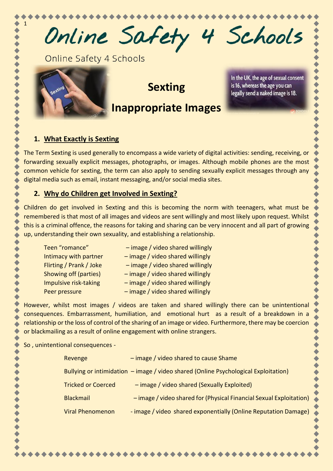Online Safety 4 Schools

Online Safety 4 Schools



1

**Sexting**

# **Inappropriate Images**

In the UK, the age of sexual consent is 16, whereas the age you can legally send a naked image is 18.

## **1. What Exactly is Sexting**

The Term Sexting is used generally to encompass a wide variety of digital activities: sending, receiving, or forwarding sexually explicit messages, photographs, or images. Although mobile phones are the most common vehicle for sexting, the term can also apply to sending sexually explicit messages through any digital media such as email, instant messaging, and/or social media sites.

#### **2. Why do Children get Involved in Sexting?**

Children do get involved in Sexting and this is becoming the norm with teenagers, what must be remembered is that most of all images and videos are sent willingly and most likely upon request. Whilst this is a criminal offence, the reasons for taking and sharing can be very innocent and all part of growing up, understanding their own sexuality, and establishing a relationship.

Teen "romance" – image / video shared willingly Intimacy with partner – image / video shared willingly Flirting / Prank / Joke – image / video shared willingly Showing off (parties) – image / video shared willingly Impulsive risk-taking – image / video shared willingly Peer pressure – image / video shared willingly

However, whilst most images / videos are taken and shared willingly there can be unintentional consequences. Embarrassment, humiliation, and emotional hurt as a result of a breakdown in a relationship or the loss of control of the sharing of an image or video. Furthermore, there may be coercion or blackmailing as a result of online engagement with online strangers.

So , unintentional consequences -

| Revenge                                                                             | - image / video shared to cause Shame                               |
|-------------------------------------------------------------------------------------|---------------------------------------------------------------------|
| Bullying or intimidation - image / video shared (Online Psychological Exploitation) |                                                                     |
| <b>Tricked or Coerced</b>                                                           | - image / video shared (Sexually Exploited)                         |
| <b>Blackmail</b>                                                                    | - image / video shared for (Physical Financial Sexual Exploitation) |
| <b>Viral Phenomenon</b>                                                             | - image / video shared exponentially (Online Reputation Damage)     |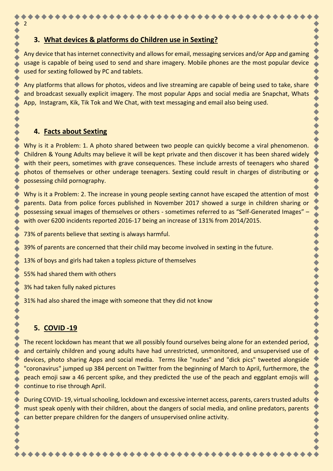#### **3. What devices & platforms do Children use in Sexting?**

Any device that has internet connectivity and allows for email, messaging services and/or App and gaming usage is capable of being used to send and share imagery. Mobile phones are the most popular device used for sexting followed by PC and tablets.

Any platforms that allows for photos, videos and live streaming are capable of being used to take, share and broadcast sexually explicit imagery. The most popular Apps and social media are Snapchat, Whats App, Instagram, Kik, Tik Tok and We Chat, with text messaging and email also being used.

#### **4. Facts about Sexting**

2

Why is it a Problem: 1. A photo shared between two people can quickly become a viral phenomenon. Children & Young Adults may believe it will be kept private and then discover it has been shared widely with their peers, sometimes with grave consequences. These include arrests of teenagers who shared photos of themselves or other underage teenagers. Sexting could result in charges of distributing or possessing child pornography.

Why is it a Problem: 2. The increase in young people sexting cannot have escaped the attention of most parents. Data from police forces published in November 2017 showed a surge in children sharing or possessing sexual images of themselves or others - sometimes referred to as "Self-Generated Images" – with over 6200 incidents reported 2016-17 being an increase of 131% from 2014/2015.

73% of parents believe that sexting is always harmful.

39% of parents are concerned that their child may become involved in sexting in the future.

13% of boys and girls had taken a topless picture of themselves

55% had shared them with others

3% had taken fully naked pictures

31% had also shared the image with someone that they did not know

# **5. COVID -19**

The recent lockdown has meant that we all possibly found ourselves being alone for an extended period, and certainly children and young adults have had unrestricted, unmonitored, and unsupervised use of devices, photo sharing Apps and social media. Terms like "nudes" and "dick pics" tweeted alongside "coronavirus" jumped up 384 percent on Twitter from the beginning of March to April, furthermore, the peach emoji saw a 46 percent spike, and they predicted the use of the peach and eggplant emojis will continue to rise through April.

During COVID- 19, virtual schooling, lockdown and excessive internet access, parents, carers trusted adults must speak openly with their children, about the dangers of social media, and online predators, parents can better prepare children for the dangers of unsupervised online activity.